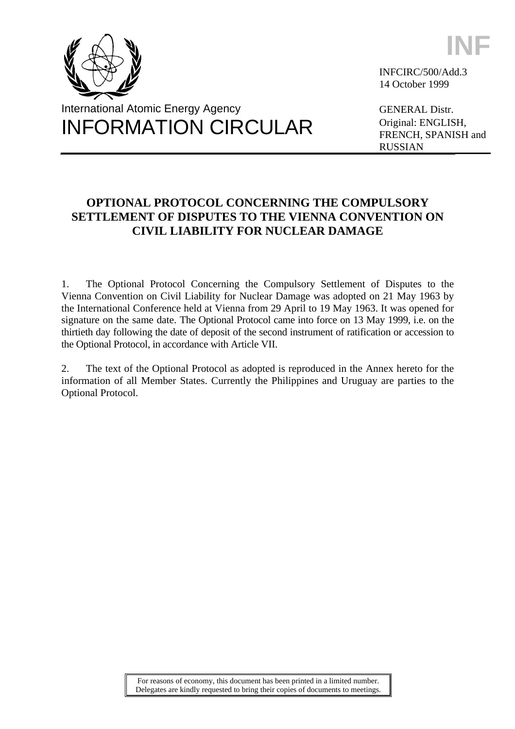



**INF**

INFCIRC/500/Add.3 14 October 1999

GENERAL Distr. Original: ENGLISH, FRENCH, SPANISH and RUSSIAN

# **OPTIONAL PROTOCOL CONCERNING THE COMPULSORY SETTLEMENT OF DISPUTES TO THE VIENNA CONVENTION ON CIVIL LIABILITY FOR NUCLEAR DAMAGE**

1. The Optional Protocol Concerning the Compulsory Settlement of Disputes to the Vienna Convention on Civil Liability for Nuclear Damage was adopted on 21 May 1963 by the International Conference held at Vienna from 29 April to 19 May 1963. It was opened for signature on the same date. The Optional Protocol came into force on 13 May 1999, i.e. on the thirtieth day following the date of deposit of the second instrument of ratification or accession to the Optional Protocol, in accordance with Article VII.

2. The text of the Optional Protocol as adopted is reproduced in the Annex hereto for the information of all Member States. Currently the Philippines and Uruguay are parties to the Optional Protocol.

> For reasons of economy, this document has been printed in a limited number. Delegates are kindly requested to bring their copies of documents to meetings.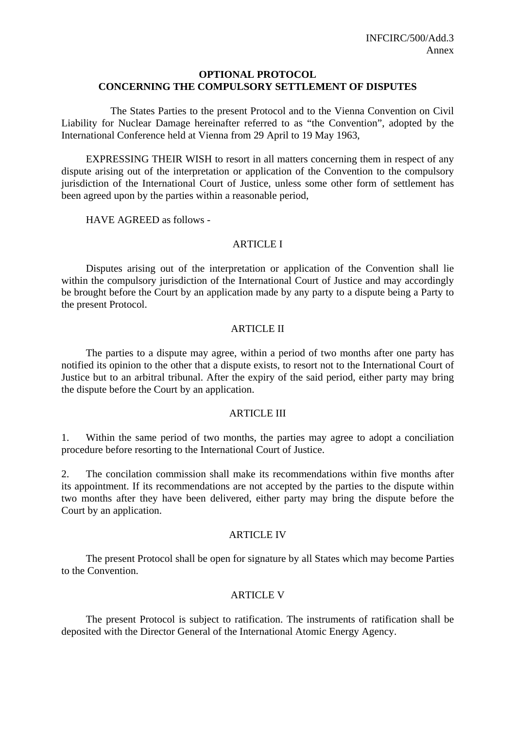### **OPTIONAL PROTOCOL CONCERNING THE COMPULSORY SETTLEMENT OF DISPUTES**

 The States Parties to the present Protocol and to the Vienna Convention on Civil Liability for Nuclear Damage hereinafter referred to as "the Convention", adopted by the International Conference held at Vienna from 29 April to 19 May 1963,

 EXPRESSING THEIR WISH to resort in all matters concerning them in respect of any dispute arising out of the interpretation or application of the Convention to the compulsory jurisdiction of the International Court of Justice, unless some other form of settlement has been agreed upon by the parties within a reasonable period,

HAVE AGREED as follows -

### **ARTICLE I**

 Disputes arising out of the interpretation or application of the Convention shall lie within the compulsory jurisdiction of the International Court of Justice and may accordingly be brought before the Court by an application made by any party to a dispute being a Party to the present Protocol.

### ARTICLE II

 The parties to a dispute may agree, within a period of two months after one party has notified its opinion to the other that a dispute exists, to resort not to the International Court of Justice but to an arbitral tribunal. After the expiry of the said period, either party may bring the dispute before the Court by an application.

### **ARTICLE III**

1. Within the same period of two months, the parties may agree to adopt a conciliation procedure before resorting to the International Court of Justice.

2. The concilation commission shall make its recommendations within five months after its appointment. If its recommendations are not accepted by the parties to the dispute within two months after they have been delivered, either party may bring the dispute before the Court by an application.

### ARTICLE IV

 The present Protocol shall be open for signature by all States which may become Parties to the Convention.

## ARTICLE V

 The present Protocol is subject to ratification. The instruments of ratification shall be deposited with the Director General of the International Atomic Energy Agency.